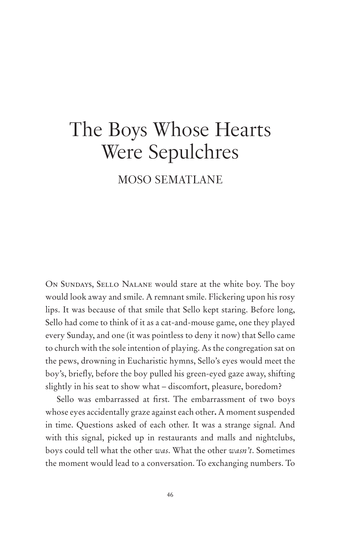# The Boys Whose Hearts Were Sepulchres

## MOSO SEMATLANE

ON SUNDAYS, SELLO NALANE would stare at the white boy. The boy would look away and smile. A remnant smile. Flickering upon his rosy lips. It was because of that smile that Sello kept staring. Before long, Sello had come to think of it as a cat-and-mouse game, one they played every Sunday, and one (it was pointless to deny it now) that Sello came to church with the sole intention of playing. As the congregation sat on the pews, drowning in Eucharistic hymns, Sello's eyes would meet the boy's, briefly, before the boy pulled his green-eyed gaze away, shifting slightly in his seat to show what – discomfort, pleasure, boredom?

Sello was embarrassed at first. The embarrassment of two boys whose eyes accidentally graze against each other**.** A moment suspended in time. Questions asked of each other. It was a strange signal. And with this signal, picked up in restaurants and malls and nightclubs, boys could tell what the other *was*. What the other *wasn't*. Sometimes the moment would lead to a conversation. To exchanging numbers. To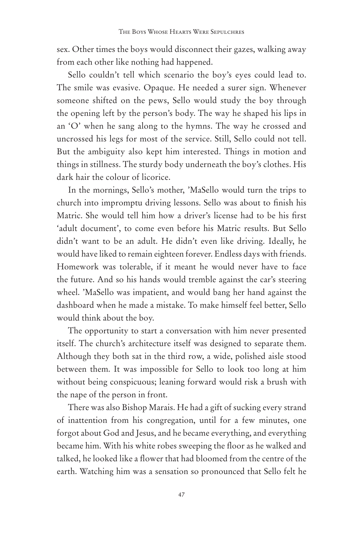sex. Other times the boys would disconnect their gazes, walking away from each other like nothing had happened.

Sello couldn't tell which scenario the boy's eyes could lead to. The smile was evasive. Opaque. He needed a surer sign. Whenever someone shifted on the pews, Sello would study the boy through the opening left by the person's body. The way he shaped his lips in an 'O' when he sang along to the hymns. The way he crossed and uncrossed his legs for most of the service. Still, Sello could not tell. But the ambiguity also kept him interested. Things in motion and things in stillness. The sturdy body underneath the boy's clothes. His dark hair the colour of licorice.

In the mornings, Sello's mother, 'MaSello would turn the trips to church into impromptu driving lessons. Sello was about to finish his Matric. She would tell him how a driver's license had to be his first 'adult document', to come even before his Matric results. But Sello didn't want to be an adult. He didn't even like driving. Ideally, he would have liked to remain eighteen forever. Endless days with friends. Homework was tolerable, if it meant he would never have to face the future. And so his hands would tremble against the car's steering wheel. 'MaSello was impatient, and would bang her hand against the dashboard when he made a mistake. To make himself feel better, Sello would think about the boy.

The opportunity to start a conversation with him never presented itself. The church's architecture itself was designed to separate them. Although they both sat in the third row, a wide, polished aisle stood between them. It was impossible for Sello to look too long at him without being conspicuous; leaning forward would risk a brush with the nape of the person in front.

There was also Bishop Marais. He had a gift of sucking every strand of inattention from his congregation, until for a few minutes, one forgot about God and Jesus, and he became everything, and everything became him. With his white robes sweeping the floor as he walked and talked, he looked like a flower that had bloomed from the centre of the earth. Watching him was a sensation so pronounced that Sello felt he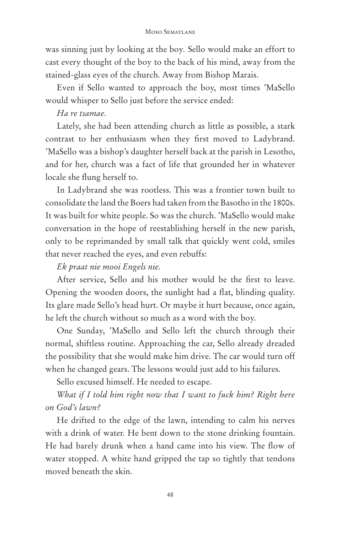#### Moso Sematlane

was sinning just by looking at the boy*.* Sello would make an effort to cast every thought of the boy to the back of his mind, away from the stained-glass eyes of the church. Away from Bishop Marais.

Even if Sello wanted to approach the boy, most times 'MaSello would whisper to Sello just before the service ended:

#### *Ha re tsamae.*

Lately, she had been attending church as little as possible, a stark contrast to her enthusiasm when they first moved to Ladybrand. 'MaSello was a bishop's daughter herself back at the parish in Lesotho, and for her, church was a fact of life that grounded her in whatever locale she flung herself to.

In Ladybrand she was rootless. This was a frontier town built to consolidate the land the Boers had taken from the Basotho in the 1800s. It was built for white people. So was the church. 'MaSello would make conversation in the hope of reestablishing herself in the new parish, only to be reprimanded by small talk that quickly went cold, smiles that never reached the eyes, and even rebuffs:

### *Ek praat nie mooi Engels nie.*

After service, Sello and his mother would be the first to leave. Opening the wooden doors, the sunlight had a flat, blinding quality. Its glare made Sello's head hurt. Or maybe it hurt because, once again, he left the church without so much as a word with the boy.

One Sunday, 'MaSello and Sello left the church through their normal, shiftless routine. Approaching the car, Sello already dreaded the possibility that she would make him drive. The car would turn off when he changed gears. The lessons would just add to his failures.

Sello excused himself. He needed to escape.

*What if I told him right now that I want to fuck him? Right here on God's lawn?*

He drifted to the edge of the lawn, intending to calm his nerves with a drink of water. He bent down to the stone drinking fountain. He had barely drunk when a hand came into his view. The flow of water stopped. A white hand gripped the tap so tightly that tendons moved beneath the skin.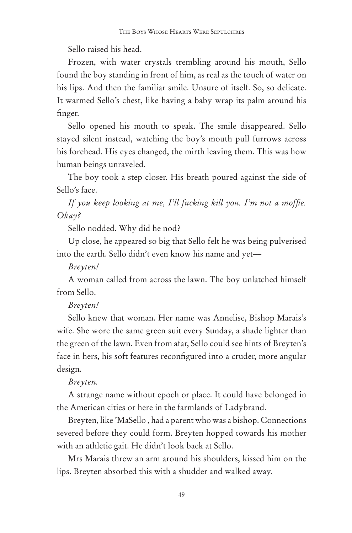Sello raised his head.

Frozen, with water crystals trembling around his mouth, Sello found the boy standing in front of him, as real as the touch of water on his lips. And then the familiar smile. Unsure of itself. So, so delicate. It warmed Sello's chest, like having a baby wrap its palm around his finger.

Sello opened his mouth to speak. The smile disappeared. Sello stayed silent instead, watching the boy's mouth pull furrows across his forehead. His eyes changed, the mirth leaving them. This was how human beings unraveled.

The boy took a step closer. His breath poured against the side of Sello's face.

*If you keep looking at me, I'll fucking kill you. I'm not a moffie. Okay?*

Sello nodded. Why did he nod?

Up close, he appeared so big that Sello felt he was being pulverised into the earth. Sello didn't even know his name and yet––

*Breyten!*

A woman called from across the lawn. The boy unlatched himself from Sello.

#### *Breyten!*

Sello knew that woman. Her name was Annelise, Bishop Marais's wife. She wore the same green suit every Sunday, a shade lighter than the green of the lawn. Even from afar, Sello could see hints of Breyten's face in hers, his soft features reconfigured into a cruder, more angular design.

#### *Breyten.*

A strange name without epoch or place. It could have belonged in the American cities or here in the farmlands of Ladybrand.

Breyten, like 'MaSello , had a parent who was a bishop. Connections severed before they could form. Breyten hopped towards his mother with an athletic gait. He didn't look back at Sello.

Mrs Marais threw an arm around his shoulders, kissed him on the lips. Breyten absorbed this with a shudder and walked away.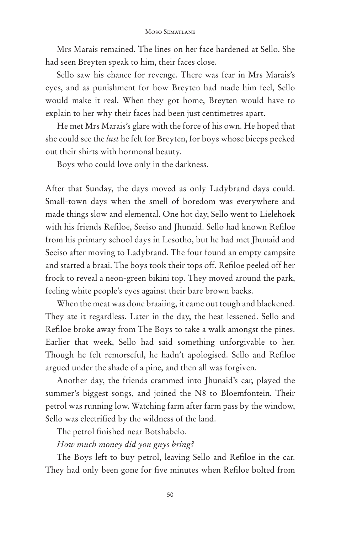Mrs Marais remained. The lines on her face hardened at Sello. She had seen Breyten speak to him, their faces close.

Sello saw his chance for revenge. There was fear in Mrs Marais's eyes, and as punishment for how Breyten had made him feel, Sello would make it real. When they got home, Breyten would have to explain to her why their faces had been just centimetres apart.

He met Mrs Marais's glare with the force of his own. He hoped that she could see the *lust* he felt for Breyten, for boys whose biceps peeked out their shirts with hormonal beauty.

Boys who could love only in the darkness.

After that Sunday, the days moved as only Ladybrand days could. Small-town days when the smell of boredom was everywhere and made things slow and elemental. One hot day, Sello went to Lielehoek with his friends Refiloe, Seeiso and Jhunaid. Sello had known Refiloe from his primary school days in Lesotho, but he had met Jhunaid and Seeiso after moving to Ladybrand. The four found an empty campsite and started a braai. The boys took their tops off. Refiloe peeled off her frock to reveal a neon-green bikini top. They moved around the park, feeling white people's eyes against their bare brown backs.

When the meat was done braaiing, it came out tough and blackened. They ate it regardless. Later in the day, the heat lessened. Sello and Refiloe broke away from The Boys to take a walk amongst the pines. Earlier that week, Sello had said something unforgivable to her. Though he felt remorseful, he hadn't apologised. Sello and Refiloe argued under the shade of a pine, and then all was forgiven.

Another day, the friends crammed into Jhunaid's car, played the summer's biggest songs, and joined the N8 to Bloemfontein. Their petrol was running low. Watching farm after farm pass by the window, Sello was electrified by the wildness of the land.

The petrol finished near Botshabelo.

*How much money did you guys bring?*

The Boys left to buy petrol, leaving Sello and Refiloe in the car. They had only been gone for five minutes when Refiloe bolted from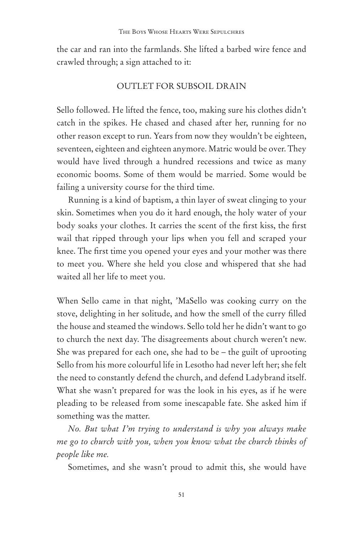the car and ran into the farmlands. She lifted a barbed wire fence and crawled through; a sign attached to it:

#### OUTLET FOR SUBSOIL DRAIN

Sello followed. He lifted the fence, too, making sure his clothes didn't catch in the spikes. He chased and chased after her, running for no other reason except to run. Years from now they wouldn't be eighteen, seventeen, eighteen and eighteen anymore. Matric would be over. They would have lived through a hundred recessions and twice as many economic booms. Some of them would be married. Some would be failing a university course for the third time.

Running is a kind of baptism, a thin layer of sweat clinging to your skin. Sometimes when you do it hard enough, the holy water of your body soaks your clothes. It carries the scent of the first kiss, the first wail that ripped through your lips when you fell and scraped your knee. The first time you opened your eyes and your mother was there to meet you. Where she held you close and whispered that she had waited all her life to meet you.

When Sello came in that night, 'MaSello was cooking curry on the stove, delighting in her solitude, and how the smell of the curry filled the house and steamed the windows. Sello told her he didn't want to go to church the next day. The disagreements about church weren't new. She was prepared for each one, she had to be – the guilt of uprooting Sello from his more colourful life in Lesotho had never left her; she felt the need to constantly defend the church, and defend Ladybrand itself. What she wasn't prepared for was the look in his eyes, as if he were pleading to be released from some inescapable fate. She asked him if something was the matter.

*No. But what I'm trying to understand is why you always make me go to church with you, when you know what the church thinks of people like me.*

Sometimes, and she wasn't proud to admit this, she would have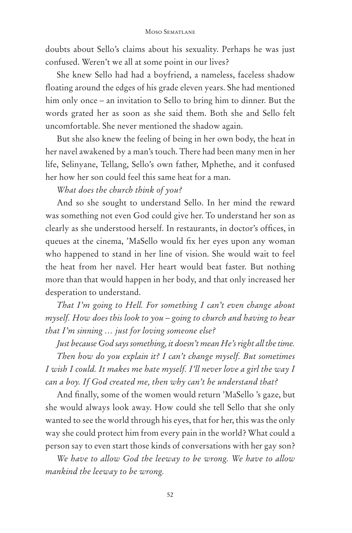doubts about Sello's claims about his sexuality. Perhaps he was just confused. Weren't we all at some point in our lives?

She knew Sello had had a boyfriend, a nameless, faceless shadow floating around the edges of his grade eleven years. She had mentioned him only once – an invitation to Sello to bring him to dinner. But the words grated her as soon as she said them. Both she and Sello felt uncomfortable. She never mentioned the shadow again.

But she also knew the feeling of being in her own body, the heat in her navel awakened by a man's touch. There had been many men in her life, Selinyane, Tellang, Sello's own father, Mphethe, and it confused her how her son could feel this same heat for a man.

*What does the church think of you?*

And so she sought to understand Sello. In her mind the reward was something not even God could give her. To understand her son as clearly as she understood herself. In restaurants, in doctor's offices, in queues at the cinema, 'MaSello would fix her eyes upon any woman who happened to stand in her line of vision. She would wait to feel the heat from her navel. Her heart would beat faster. But nothing more than that would happen in her body, and that only increased her desperation to understand.

*That I'm going to Hell. For something I can't even change about myself. How does this look to you – going to church and having to hear that I'm sinning … just for loving someone else?* 

*Just because God says something, it doesn't mean He's right all the time.*

*Then how do you explain it? I can't change myself. But sometimes I wish I could. It makes me hate myself. I'll never love a girl the way I can a boy. If God created me, then why can't he understand that?*

And finally, some of the women would return 'MaSello 's gaze, but she would always look away. How could she tell Sello that she only wanted to see the world through his eyes, that for her, this was the only way she could protect him from every pain in the world? What could a person say to even start those kinds of conversations with her gay son?

*We have to allow God the leeway to be wrong. We have to allow mankind the leeway to be wrong.*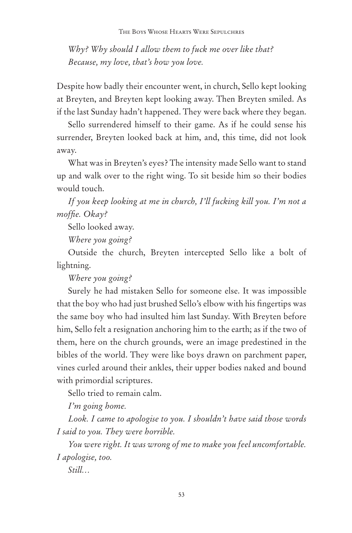*Why? Why should I allow them to fuck me over like that? Because, my love, that's how you love.*

Despite how badly their encounter went, in church, Sello kept looking at Breyten, and Breyten kept looking away. Then Breyten smiled. As if the last Sunday hadn't happened. They were back where they began.

Sello surrendered himself to their game. As if he could sense his surrender, Breyten looked back at him, and, this time, did not look away.

What was in Breyten's eyes? The intensity made Sello want to stand up and walk over to the right wing. To sit beside him so their bodies would touch.

*If you keep looking at me in church, I'll fucking kill you. I'm not a moffie. Okay?*

Sello looked away.

*Where you going?*

Outside the church, Breyten intercepted Sello like a bolt of lightning.

*Where you going?*

Surely he had mistaken Sello for someone else. It was impossible that the boy who had just brushed Sello's elbow with his fingertips was the same boy who had insulted him last Sunday. With Breyten before him, Sello felt a resignation anchoring him to the earth; as if the two of them, here on the church grounds, were an image predestined in the bibles of the world. They were like boys drawn on parchment paper, vines curled around their ankles, their upper bodies naked and bound with primordial scriptures.

Sello tried to remain calm.

*I'm going home.* 

*Look. I came to apologise to you. I shouldn't have said those words I said to you. They were horrible.*

*You were right. It was wrong of me to make you feel uncomfortable. I apologise, too.* 

*Still…*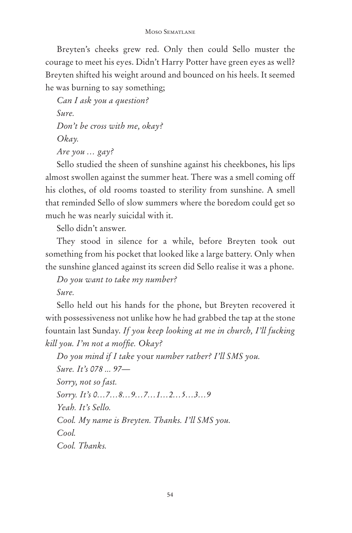Breyten's cheeks grew red. Only then could Sello muster the courage to meet his eyes. Didn't Harry Potter have green eyes as well? Breyten shifted his weight around and bounced on his heels. It seemed he was burning to say something;

*Can I ask you a question? Sure. Don't be cross with me, okay? Okay. Are you … gay?*

Sello studied the sheen of sunshine against his cheekbones, his lips almost swollen against the summer heat. There was a smell coming off his clothes, of old rooms toasted to sterility from sunshine. A smell that reminded Sello of slow summers where the boredom could get so much he was nearly suicidal with it.

Sello didn't answer.

They stood in silence for a while, before Breyten took out something from his pocket that looked like a large battery. Only when the sunshine glanced against its screen did Sello realise it was a phone.

*Do you want to take my number?*

*Sure.*

Sello held out his hands for the phone, but Breyten recovered it with possessiveness not unlike how he had grabbed the tap at the stone fountain last Sunday. *If you keep looking at me in church, I'll fucking kill you. I'm not a moffie. Okay?*

*Do you mind if I take* your *number rather? I'll SMS you. Sure. It's 078 ... 97–– Sorry, not so fast. Sorry. It's 0…7…8…9…7…1…2…5…3…9 Yeah. It's Sello. Cool. My name is Breyten. Thanks. I'll SMS you. Cool. Cool. Thanks.*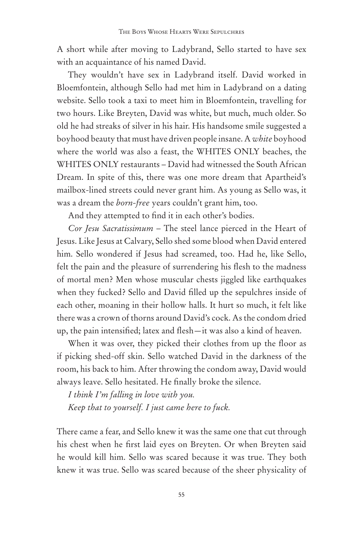A short while after moving to Ladybrand, Sello started to have sex with an acquaintance of his named David.

They wouldn't have sex in Ladybrand itself. David worked in Bloemfontein, although Sello had met him in Ladybrand on a dating website. Sello took a taxi to meet him in Bloemfontein, travelling for two hours. Like Breyten, David was white, but much, much older. So old he had streaks of silver in his hair. His handsome smile suggested a boyhood beauty that must have driven people insane. A *white* boyhood where the world was also a feast, the WHITES ONLY beaches, the WHITES ONLY restaurants – David had witnessed the South African Dream. In spite of this, there was one more dream that Apartheid's mailbox-lined streets could never grant him. As young as Sello was, it was a dream the *born-free* years couldn't grant him, too.

And they attempted to find it in each other's bodies.

*Cor Jesu Sacratissimum –* The steel lance pierced in the Heart of Jesus. Like Jesus at Calvary, Sello shed some blood when David entered him. Sello wondered if Jesus had screamed, too. Had he, like Sello, felt the pain and the pleasure of surrendering his flesh to the madness of mortal men? Men whose muscular chests jiggled like earthquakes when they fucked? Sello and David filled up the sepulchres inside of each other, moaning in their hollow halls. It hurt so much, it felt like there was a crown of thorns around David's cock. As the condom dried up, the pain intensified; latex and flesh—it was also a kind of heaven.

When it was over, they picked their clothes from up the floor as if picking shed-off skin. Sello watched David in the darkness of the room, his back to him. After throwing the condom away, David would always leave. Sello hesitated. He finally broke the silence.

*I think I'm falling in love with you. Keep that to yourself. I just came here to fuck.*

There came a fear, and Sello knew it was the same one that cut through his chest when he first laid eyes on Breyten. Or when Breyten said he would kill him. Sello was scared because it was true. They both knew it was true. Sello was scared because of the sheer physicality of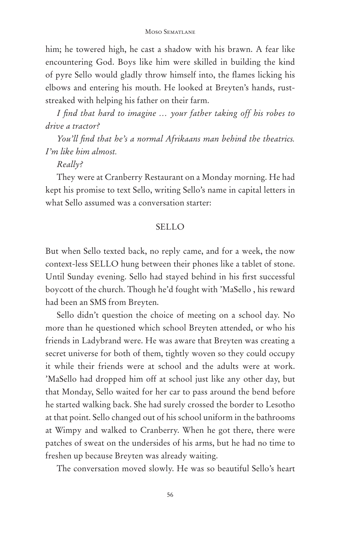him; he towered high, he cast a shadow with his brawn. A fear like encountering God. Boys like him were skilled in building the kind of pyre Sello would gladly throw himself into, the flames licking his elbows and entering his mouth. He looked at Breyten's hands, ruststreaked with helping his father on their farm.

*I find that hard to imagine … your father taking off his robes to drive a tractor?*

*You'll find that he's a normal Afrikaans man behind the theatrics. I'm like him almost.*

#### *Really?*

They were at Cranberry Restaurant on a Monday morning. He had kept his promise to text Sello, writing Sello's name in capital letters in what Sello assumed was a conversation starter:

#### SELLO

But when Sello texted back, no reply came, and for a week, the now context-less SELLO hung between their phones like a tablet of stone. Until Sunday evening. Sello had stayed behind in his first successful boycott of the church. Though he'd fought with 'MaSello , his reward had been an SMS from Breyten.

Sello didn't question the choice of meeting on a school day. No more than he questioned which school Breyten attended, or who his friends in Ladybrand were. He was aware that Breyten was creating a secret universe for both of them, tightly woven so they could occupy it while their friends were at school and the adults were at work. 'MaSello had dropped him off at school just like any other day, but that Monday, Sello waited for her car to pass around the bend before he started walking back. She had surely crossed the border to Lesotho at that point. Sello changed out of his school uniform in the bathrooms at Wimpy and walked to Cranberry. When he got there, there were patches of sweat on the undersides of his arms, but he had no time to freshen up because Breyten was already waiting.

The conversation moved slowly. He was so beautiful Sello's heart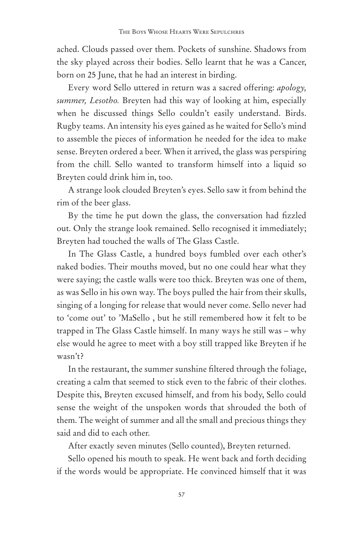ached. Clouds passed over them. Pockets of sunshine. Shadows from the sky played across their bodies. Sello learnt that he was a Cancer, born on 25 June, that he had an interest in birding.

Every word Sello uttered in return was a sacred offering: *apology, summer, Lesotho.* Breyten had this way of looking at him, especially when he discussed things Sello couldn't easily understand. Birds. Rugby teams. An intensity his eyes gained as he waited for Sello's mind to assemble the pieces of information he needed for the idea to make sense. Breyten ordered a beer. When it arrived, the glass was perspiring from the chill. Sello wanted to transform himself into a liquid so Breyten could drink him in, too.

A strange look clouded Breyten's eyes. Sello saw it from behind the rim of the beer glass.

By the time he put down the glass, the conversation had fizzled out. Only the strange look remained. Sello recognised it immediately; Breyten had touched the walls of The Glass Castle.

In The Glass Castle, a hundred boys fumbled over each other's naked bodies. Their mouths moved, but no one could hear what they were saying; the castle walls were too thick. Breyten was one of them, as was Sello in his own way. The boys pulled the hair from their skulls, singing of a longing for release that would never come. Sello never had to 'come out' to 'MaSello , but he still remembered how it felt to be trapped in The Glass Castle himself. In many ways he still was – why else would he agree to meet with a boy still trapped like Breyten if he wasn't?

In the restaurant, the summer sunshine filtered through the foliage, creating a calm that seemed to stick even to the fabric of their clothes. Despite this, Breyten excused himself, and from his body, Sello could sense the weight of the unspoken words that shrouded the both of them. The weight of summer and all the small and precious things they said and did to each other.

After exactly seven minutes (Sello counted), Breyten returned.

Sello opened his mouth to speak. He went back and forth deciding if the words would be appropriate. He convinced himself that it was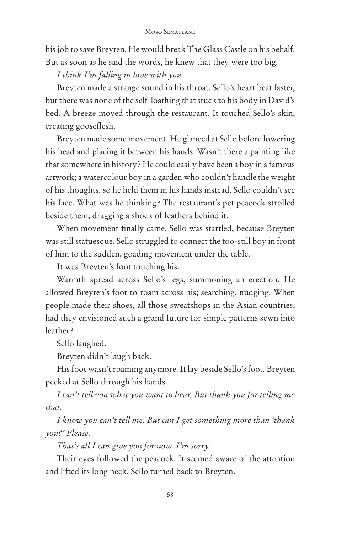his job to save Breyten. He would break The Glass Castle on his behalf. But as soon as he said the words, he knew that they were too big.

*I think I'm falling in love with you.*

Breyten made a strange sound in his throat. Sello's heart beat faster, but there was none of the self-loathing that stuck to his body in David's bed. A breeze moved through the restaurant. It touched Sello's skin, creating gooseflesh.

Breyten made some movement. He glanced at Sello before lowering his head and placing it between his hands. Wasn't there a painting like that somewhere in history? He could easily have been a boy in a famous artwork; a watercolour boy in a garden who couldn't handle the weight of his thoughts, so he held them in his hands instead. Sello couldn't see his face. What was he thinking? The restaurant's pet peacock strolled beside them, dragging a shock of feathers behind it.

When movement finally came, Sello was startled, because Breyten was still statuesque. Sello struggled to connect the too-still boy in front of him to the sudden, goading movement under the table.

It was Breyten's foot touching his.

Warmth spread across Sello's legs, summoning an erection. He allowed Breyten's foot to roam across his; searching, nudging. When people made their shoes, all those sweatshops in the Asian countries, had they envisioned such a grand future for simple patterns sewn into leather?

Sello laughed.

Breyten didn't laugh back.

His foot wasn't roaming anymore. It lay beside Sello's foot. Breyten peeked at Sello through his hands.

*I can't tell you what you want to hear. But thank you for telling me that.*

*I know you can't tell me. But can I get something more than 'thank you?' Please.*

*That's all I can give you for now. I'm sorry.*

Their eyes followed the peacock. It seemed aware of the attention and lifted its long neck. Sello turned back to Breyten.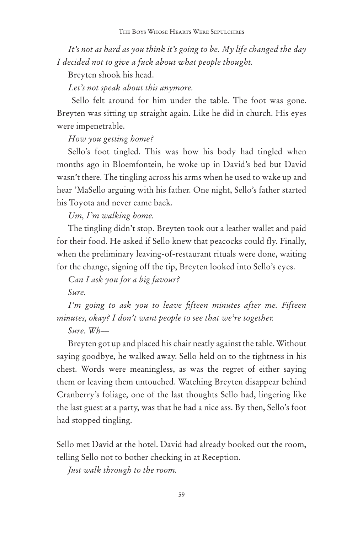*It's not as hard as you think it's going to be. My life changed the day I decided not to give a fuck about what people thought.*

Breyten shook his head.

*Let's not speak about this anymore.*

 Sello felt around for him under the table. The foot was gone. Breyten was sitting up straight again. Like he did in church. His eyes were impenetrable.

#### *How you getting home?*

Sello's foot tingled. This was how his body had tingled when months ago in Bloemfontein, he woke up in David's bed but David wasn't there. The tingling across his arms when he used to wake up and hear 'MaSello arguing with his father. One night, Sello's father started his Toyota and never came back.

*Um, I'm walking home.*

The tingling didn't stop. Breyten took out a leather wallet and paid for their food. He asked if Sello knew that peacocks could fly. Finally, when the preliminary leaving-of-restaurant rituals were done, waiting for the change, signing off the tip, Breyten looked into Sello's eyes.

*Can I ask you for a big favour?*

*Sure.*

*I'm going to ask you to leave fifteen minutes after me. Fifteen minutes, okay? I don't want people to see that we're together.*

*Sure. Wh––*

Breyten got up and placed his chair neatly against the table. Without saying goodbye, he walked away. Sello held on to the tightness in his chest. Words were meaningless, as was the regret of either saying them or leaving them untouched. Watching Breyten disappear behind Cranberry's foliage, one of the last thoughts Sello had, lingering like the last guest at a party, was that he had a nice ass. By then, Sello's foot had stopped tingling.

Sello met David at the hotel. David had already booked out the room, telling Sello not to bother checking in at Reception.

*Just walk through to the room.*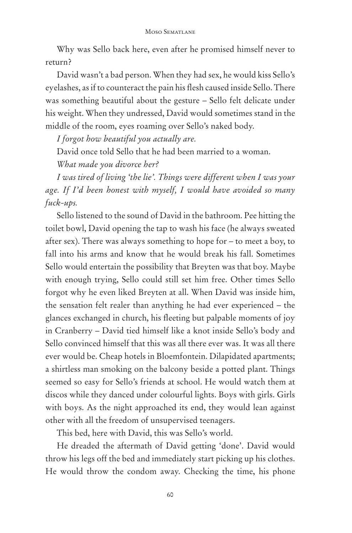Why was Sello back here, even after he promised himself never to return?

David wasn't a bad person. When they had sex, he would kiss Sello's eyelashes, as if to counteract the pain his flesh caused inside Sello. There was something beautiful about the gesture – Sello felt delicate under his weight. When they undressed, David would sometimes stand in the middle of the room, eyes roaming over Sello's naked body.

*I forgot how beautiful you actually are.*

David once told Sello that he had been married to a woman.

*What made you divorce her?*

*I was tired of living 'the lie'. Things were different when I was your age. If I'd been honest with myself, I would have avoided so many fuck-ups.* 

Sello listened to the sound of David in the bathroom. Pee hitting the toilet bowl, David opening the tap to wash his face (he always sweated after sex). There was always something to hope for – to meet a boy, to fall into his arms and know that he would break his fall. Sometimes Sello would entertain the possibility that Breyten was that boy. Maybe with enough trying, Sello could still set him free. Other times Sello forgot why he even liked Breyten at all. When David was inside him, the sensation felt realer than anything he had ever experienced – the glances exchanged in church, his fleeting but palpable moments of joy in Cranberry – David tied himself like a knot inside Sello's body and Sello convinced himself that this was all there ever was. It was all there ever would be. Cheap hotels in Bloemfontein. Dilapidated apartments; a shirtless man smoking on the balcony beside a potted plant. Things seemed so easy for Sello's friends at school. He would watch them at discos while they danced under colourful lights. Boys with girls. Girls with boys. As the night approached its end, they would lean against other with all the freedom of unsupervised teenagers.

This bed, here with David, this was Sello's world.

He dreaded the aftermath of David getting 'done'. David would throw his legs off the bed and immediately start picking up his clothes. He would throw the condom away. Checking the time, his phone